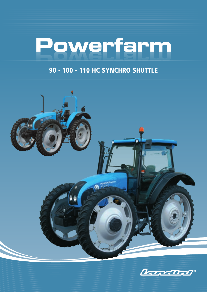## **Powerfarm**

## 90 - 100 - 110 HC SYNCHRO SHUTTLE